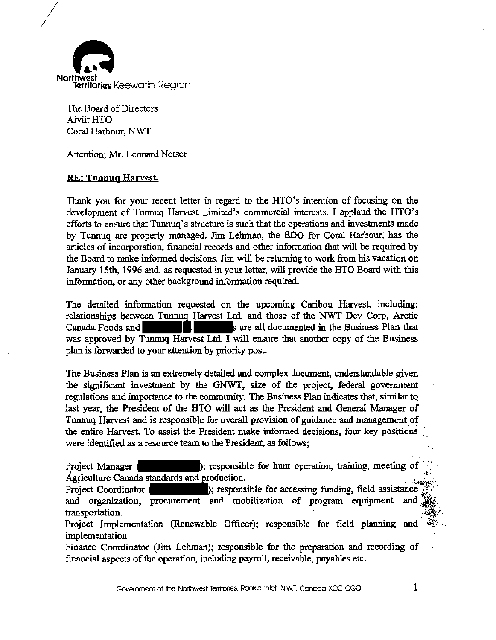

!

/

**The Board of Directors**  Aiviit HTO Coral Harbour, NWT

**Attention; Mr. Leonard Netser** 

## **RE: Tunnuq Harvest.**

**Thank you for your recent letter in regard to the HTO's intention of focusing on the development of Tunnuq Harvest Limited's commercial interests. I applaud the HTO's efforts to ensure that Tunnuq's structure is such that the operations and investments made**  by Tunnuq are properly managed. Jim Lehman, the EDO for Coral Harbour, bas the **articles of incorporation, financial records and other information that will be required by the Board to make informed decisions. Jim will be returning to work from his vacation on**  January 15th, 1996 and, as requested in your letter, will provide the HTO Board with this **information, or any other background information required.** 

**The detailed information requested on the upcoming Caribou Harvest. including;**  relationships between Tunnuq Harvest Ltd. and those of the NWT Dev Corp, Arctic **Canada Foods and are all documented in the Business Plan that** was approved by Tunnuq Harvest Ltd. I will ensure that another copy of the Business **plan is forwarded to your attention by priority post** 

The Business Plan is an extremely detailed and complex document, understandable given the significant investment by the GNWT, size of the project, federal government regulations and importance to the community. The Business Plan indicates that, similar to. last year, the President of the HTO wiIJ act as the President and General Manager of **Tunnuq Harvest and is responsible for overall provision of guidance and management of the entire Harvest. To assist the President make informed decisions, four key positions** '.,\_ **were identified as a resource team to the President, as follows;** 

Project Manager ( ); responsible for hunt operation, training, meeting of The entire Harvest. To assist the President make informed decisions, four key positions<br>were identified as a resource team to the President, as follows;<br>Project Manager (**i)**; responsible for hunt operation, training, meet

and organization, procurement and mobilization of program equipment and  $\frac{1}{2}$ .

Project Implementation (Renewable Officer); responsible for field planning and **implementation** 

**Finance Coordinator (Jim Lehman); responsible for the preparation and recording of fmancial aspects** of the **operation. including payroll, receivable, payables etc.**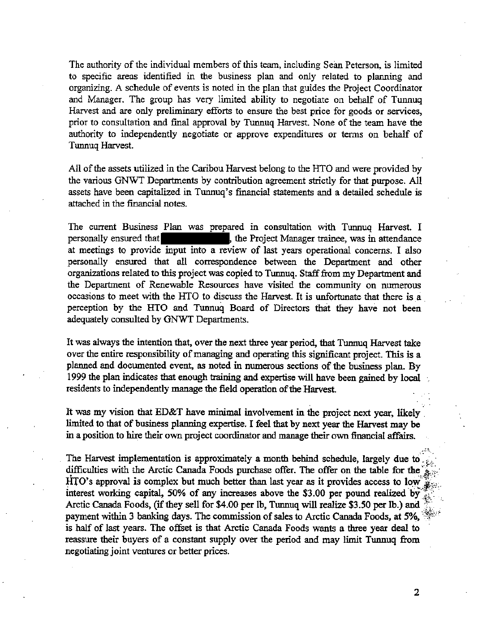**The authority of the individual members of this team, including Sean Peterson, is limited to specific areas identified in the business plan and only related to planning and organizing. A schedule of events is noted in the plan that guides the Project Coordinator and Manager. The group has very limited ability to negotiate on behalf of Tunnuq Harvest and are only preliminary efforts to ensure the best price for goods or services, prior to consultation and final approval by Tunnuq Harvest. None of the team have the authority to independently negotiate or approve expenditures or terms on behalf of Tunnuq Harvest.** 

All of the assets utilized in the Caribou Harvest belong to the HTO and were provided by **the various GNWT Departments by contribution agreement strictly for that purpose. All assets have been capitalized in Tunnuq's financial statements and a detailed schedule is attached in the financial notes.** 

**The current Business Plan was prepared in consultation with Tunnuq Harvest. I personally ensured that**  $\qquad \qquad$ **, the Project Manager trainee, was in attendance at meetings to provide input into a review of last years operational concerns. I also personally ensured that all correspondence between the Department and other organizations related to this project was copied to Tunnuq.** Staff from **my Department and the Department of Renewable Resources have visited the community on numerous occasions to meet with the HTO to discuss the Harvest. It is unfOrtunate that there is a perception by the HTO and Tunnuq Board of Directors that they have not been**  adequately consulted by GNWT Departments.

**It was always the intention that. over the next three year period, that Tunnuq Harvest take over the entire responsibility of managing and operating this significant project. This is a planned and documented event, as noted in numerous sections of the business plan. By**  1999 the pIan indicates that enough training and expertise will have been gained by local **residents to independently manage the field operation of the Harvest.** 

**It was my vision that ED&T have minjmal involvement in the project next year, likely**  limited to that of business planning expertise. I feel that by next year the Harvest may be in **a position to hire their own project coordinator and manage their own financial affairs.** 

The Harvest implementation is approximately a month behind schedule, largely due to difficulties with the Arctic Canada Foods purchase offer. The offer on the table for the HTO's approval is complex but much better than last year as it provides access to low interest working capital, 50% of any increases above the \$3.00 per pound realized by Arctic Canada Foods, (if they sell for \$4.00 per lb, Tunnuq will realize \$3.50 per lb.) and ,  $\mathcal{L}$  ,  $\mathcal{L}$ payment within 3 banking days. The commission of sales to Arctic Canada Foods, at 5%, is half of last years. The offset is that Arctic Canada Foods wants a three year deal to **reassure their buyers of a constant supply over the period and may limit Tunnuq from negotiating joint ventures or better prices.** 

 $, \mathcal{C}$